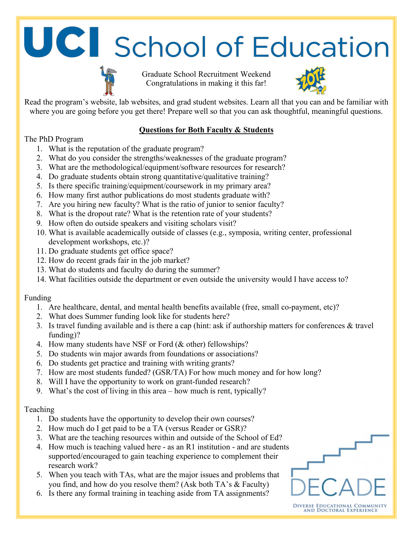### UCI School of Education

Graduate School Recruitment Weekend Congratulations in making it this far!



DIVERSE EDUCATIONAL COMMUNITY<br>AND DOCTORAL EXPERIENCE

Read the program's website, lab websites, and grad student websites. Learn all that you can and be familiar with where you are going before you get there! Prepare well so that you can ask thoughtful, meaningful questions.

### **Questions for Both Faculty & Students**

### The PhD Program

- 1. What is the reputation of the graduate program?
- 2. What do you consider the strengths/weaknesses of the graduate program?
- 3. What are the methodological/equipment/software resources for research?
- 4. Do graduate students obtain strong quantitative/qualitative training?
- 5. Is there specific training/equipment/coursework in my primary area?
- 6. How many first author publications do most students graduate with?
- 7. Are you hiring new faculty? What is the ratio of junior to senior faculty?
- 8. What is the dropout rate? What is the retention rate of your students?
- 9. How often do outside speakers and visiting scholars visit?
- 10. What is available academically outside of classes (e.g., symposia, writing center, professional development workshops, etc.)?
- 11. Do graduate students get office space?
- 12. How do recent grads fair in the job market?
- 13. What do students and faculty do during the summer?
- 14. What facilities outside the department or even outside the university would I have access to?

### Funding

- 1. Are healthcare, dental, and mental health benefits available (free, small co-payment, etc)?
- 2. What does Summer funding look like for students here?
- 3. Is travel funding available and is there a cap (hint: ask if authorship matters for conferences & travel funding)?
- 4. How many students have NSF or Ford (& other) fellowships?
- 5. Do students win major awards from foundations or associations?
- 6. Do students get practice and training with writing grants?
- 7. How are most students funded? (GSR/TA) For how much money and for how long?
- 8. Will I have the opportunity to work on grant-funded research?
- 9. What's the cost of living in this area how much is rent, typically?

### Teaching

- 1. Do students have the opportunity to develop their own courses?
- 2. How much do I get paid to be a TA (versus Reader or GSR)?
- 3. What are the teaching resources within and outside of the School of Ed?
- 4. How much is teaching valued here as an R1 institution and are students supported/encouraged to gain teaching experience to complement their research work?
- 5. When you teach with TAs, what are the major issues and problems that you find, and how do you resolve them? (Ask both TA's & Faculty)
- 6. Is there any formal training in teaching aside from TA assignments?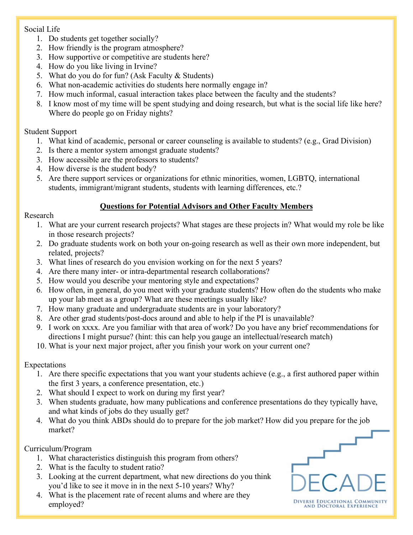### Social Life

- 1. Do students get together socially?
- 2. How friendly is the program atmosphere?
- 3. How supportive or competitive are students here?
- 4. How do you like living in Irvine?
- 5. What do you do for fun? (Ask Faculty & Students)
- 6. What non-academic activities do students here normally engage in?
- 7. How much informal, casual interaction takes place between the faculty and the students?
- 8. I know most of my time will be spent studying and doing research, but what is the social life like here? Where do people go on Friday nights?

### Student Support

- 1. What kind of academic, personal or career counseling is available to students? (e.g., Grad Division)
- 2. Is there a mentor system amongst graduate students?
- 3. How accessible are the professors to students?
- 4. How diverse is the student body?
- 5. Are there support services or organizations for ethnic minorities, women, LGBTQ, international students, immigrant/migrant students, students with learning differences, etc.?

### **Questions for Potential Advisors and Other Faculty Members**

### Research

- 1. What are your current research projects? What stages are these projects in? What would my role be like in those research projects?
- 2. Do graduate students work on both your on-going research as well as their own more independent, but related, projects?
- 3. What lines of research do you envision working on for the next 5 years?
- 4. Are there many inter- or intra-departmental research collaborations?
- 5. How would you describe your mentoring style and expectations?
- 6. How often, in general, do you meet with your graduate students? How often do the students who make up your lab meet as a group? What are these meetings usually like?
- 7. How many graduate and undergraduate students are in your laboratory?
- 8. Are other grad students/post-docs around and able to help if the PI is unavailable?
- 9. I work on xxxx. Are you familiar with that area of work? Do you have any brief recommendations for directions I might pursue? (hint: this can help you gauge an intellectual/research match)
- 10. What is your next major project, after you finish your work on your current one?

### Expectations

- 1. Are there specific expectations that you want your students achieve (e.g., a first authored paper within the first 3 years, a conference presentation, etc.)
- 2. What should I expect to work on during my first year?
- 3. When students graduate, how many publications and conference presentations do they typically have, and what kinds of jobs do they usually get?
- 4. What do you think ABDs should do to prepare for the job market? How did you prepare for the job market?

### Curriculum/Program

- 1. What characteristics distinguish this program from others?
- 2. What is the faculty to student ratio?
- 3. Looking at the current department, what new directions do you think you'd like to see it move in in the next 5-10 years? Why?
- 4. What is the placement rate of recent alums and where are they employed?

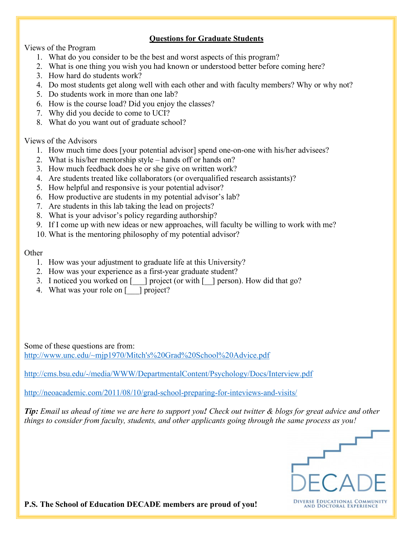### **Questions for Graduate Students**

Views of the Program

- 1. What do you consider to be the best and worst aspects of this program?
- 2. What is one thing you wish you had known or understood better before coming here?
- 3. How hard do students work?
- 4. Do most students get along well with each other and with faculty members? Why or why not?
- 5. Do students work in more than one lab?
- 6. How is the course load? Did you enjoy the classes?
- 7. Why did you decide to come to UCI?
- 8. What do you want out of graduate school?

Views of the Advisors

- 1. How much time does [your potential advisor] spend one-on-one with his/her advisees?
- 2. What is his/her mentorship style hands off or hands on?
- 3. How much feedback does he or she give on written work?
- 4. Are students treated like collaborators (or overqualified research assistants)?
- 5. How helpful and responsive is your potential advisor?
- 6. How productive are students in my potential advisor's lab?
- 7. Are students in this lab taking the lead on projects?
- 8. What is your advisor's policy regarding authorship?
- 9. If I come up with new ideas or new approaches, will faculty be willing to work with me?
- 10. What is the mentoring philosophy of my potential advisor?

### **Other**

- 1. How was your adjustment to graduate life at this University?
- 2. How was your experience as a first-year graduate student?
- 3. I noticed you worked on [\_\_\_] project (or with [\_\_] person). How did that go?
- 4. What was your role on [  $\Box$ ] project?

Some of these questions are from: http://www.unc.edu/~mjp1970/Mitch's%20Grad%20School%20Advice.pdf

http://cms.bsu.edu/-/media/WWW/DepartmentalContent/Psychology/Docs/Interview.pdf

http://neoacademic.com/2011/08/10/grad-school-preparing-for-inteviews-and-visits/

*Tip: Email us ahead of time we are here to support you! Check out twitter & blogs for great advice and other things to consider from faculty, students, and other applicants going through the same process as you!*



**P.S. The School of Education DECADE members are proud of you!**